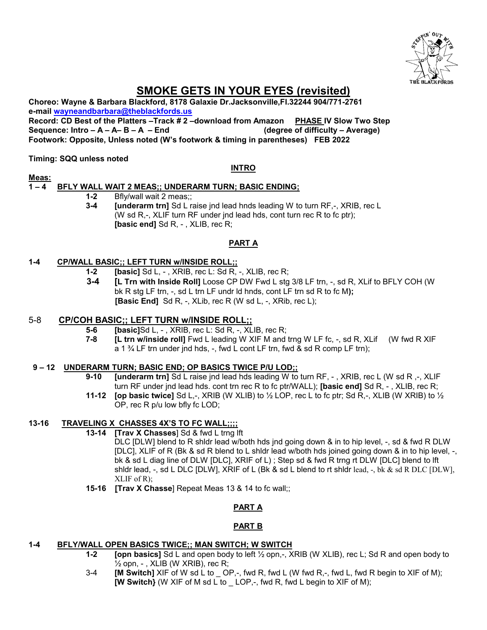

# **SMOKE GETS IN YOUR EYES (revisited)**

**Choreo: Wayne & Barbara Blackford, 8178 Galaxie Dr.Jacksonville,Fl.32244 904/771-2761 e-mail [wayneandbarbara@theblackfords.us](mailto:wayneandbarbara@theblackfords.us) Record: CD Best of the Platters –Track # 2 –download from Amazon PHASE IV Slow Two Step Sequence: Intro – A – A– B – A – End (degree of difficulty – Average)**

**Footwork: Opposite, Unless noted (W's footwork & timing in parentheses) FEB 2022**

## **Timing: SQQ unless noted**

**Meas:**

### **INTRO**

# **1 – 4 BFLY WALL WAIT 2 MEAS;; UNDERARM TURN; BASIC ENDING;**

- **1-2** Bfly/wall wait 2 meas;;
- **3-4 [underarm trn]** Sd L raise jnd lead hnds leading W to turn RF,-, XRIB, rec L (W sd R,-, XLIF turn RF under jnd lead hds, cont turn rec R to fc ptr); **[basic end]** Sd R, - , XLIB, rec R;

# **PART A**

### **1-4 CP/WALL BASIC;; LEFT TURN w/INSIDE ROLL;;**

- **1-2 [basic]** Sd L, , XRIB, rec L: Sd R, -, XLIB, rec R;
- **3-4 [L Trn with Inside Roll]** Loose CP DW Fwd L stg 3/8 LF trn, -, sd R, XLif to BFLY COH (W bk R stg LF trn, -, sd L trn LF undr ld hnds, cont LF trn sd R to fc M**); [Basic End]** Sd R, -, XLib, rec R (W sd L, -, XRib, rec L);

### 5-8 **CP/COH BASIC;; LEFT TURN w/INSIDE ROLL;;**

- **5-6 [basic]**Sd L, , XRIB, rec L: Sd R, -, XLIB, rec R;
- **7-8 [L trn w/inside roll]** Fwd L leading W XIF M and trng W LF fc, -, sd R, XLif (W fwd R XIF a 1  $\frac{3}{4}$  LF trn under jnd hds, -, fwd L cont LF trn, fwd & sd R comp LF trn);

### **9 – 12 UNDERARM TURN; BASIC END; OP BASICS TWICE P/U LOD;;**

- **9-10 [underarm trn]** Sd L raise jnd lead hds leading W to turn RF, , XRIB, rec L (W sd R ,-, XLIF turn RF under jnd lead hds. cont trn rec R to fc ptr/WALL); **[basic end]** Sd R, - , XLIB, rec R;
- **11-12 [op basic twice]** Sd L,-, XRIB (W XLIB) to ½ LOP, rec L to fc ptr; Sd R,-, XLIB (W XRIB) to ½ OP, rec R p/u low bfly fc LOD;

# **13-16 TRAVELING X CHASSES 4X'S TO FC WALL;;;;**

**13-14 [Trav X Chasses**] Sd & fwd L trng lft

DLC [DLW] blend to R shldr lead w/both hds jnd going down & in to hip level, -, sd & fwd R DLW [DLC], XLIF of R (Bk & sd R blend to L shldr lead w/both hds joined going down & in to hip level, -, bk & sd L diag line of DLW [DLC], XRIF of L) ; Step sd & fwd R trng rt DLW [DLC] blend to lft shldr lead, -, sd L DLC [DLW], XRIF of L (Bk & sd L blend to rt shldr lead, -, bk & sd R DLC [DLW], XLIF of R);

**15-16 [Trav X Chasse**] Repeat Meas 13 & 14 to fc wall;;

# **PART A**

# **PART B**

### **1-4 BFLY/WALL OPEN BASICS TWICE;; MAN SWITCH; W SWITCH**

- **1-2 [opn basics]** Sd L and open body to left ½ opn,-, XRIB (W XLIB), rec L; Sd R and open body to  $\frac{1}{2}$  opn, - , XLIB (W XRIB), rec R;
- 3-4 **[M Switch]** XIF of W sd L to \_ OP,-, fwd R, fwd L (W fwd R,-, fwd L, fwd R begin to XIF of M);  **[W Switch}** (W XIF of M sd L to \_ LOP,-, fwd R, fwd L begin to XIF of M);